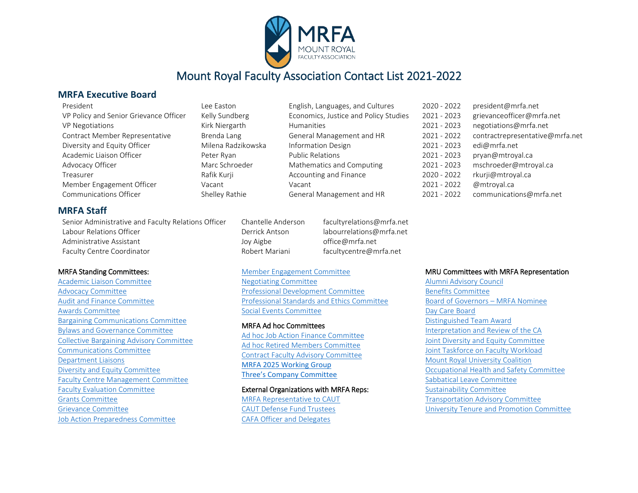

# Mount Royal Faculty Association Contact List 2021-2022

#### **MRFA Executive Board**

|  | President |
|--|-----------|
|  |           |
|  |           |
|  |           |

| 11 LJULIU                              | LUL LUJUUT         | Lusion, Languageo, and Caltareo       | LULU LULL   | president (williamet    |
|----------------------------------------|--------------------|---------------------------------------|-------------|-------------------------|
| VP Policy and Senior Grievance Officer | Kelly Sundberg     | Economics, Justice and Policy Studies | 2021 - 2023 | grievanceofficer@mrfa.n |
| <b>VP Negotiations</b>                 | Kirk Niergarth     | <b>Humanities</b>                     | 2021 - 2023 | negotiations@mrfa.net   |
| Contract Member Representative         | Brenda Lang        | General Management and HR             | 2021 - 2022 | contractrepresentative@ |
| Diversity and Equity Officer           | Milena Radzikowska | <b>Information Design</b>             | 2021 - 2023 | edi@mrfa.net            |
| Academic Liaison Officer               | Peter Ryan         | <b>Public Relations</b>               | 2021 - 2023 | pryan@mtroyal.ca        |
| Advocacy Officer                       | Marc Schroeder     | Mathematics and Computing             | 2021 - 2023 | mschroeder@mtroyal.ca   |
| Treasurer                              | Rafik Kurji        | Accounting and Finance                | 2020 - 2022 | rkurji@mtroyal.ca       |
| Member Engagement Officer              | Vacant             | Vacant                                | 2021 - 2022 | @mtroyal.ca             |
| Communications Officer                 | Shelley Rathie     | General Management and HR             | 2021 - 2022 | communications@mrfa.r   |

| L PP-FASIOIL       |
|--------------------|
| Kelly Sundberg     |
| Kirk Niergarth     |
| Brenda Lang        |
| Milena Radzikowska |
| Peter Ryan         |
| Marc Schroeder     |
| Rafik Kurji        |
| Vacant             |
| Shelley Rathie     |

| English, Languages, and Cultures     |
|--------------------------------------|
| Economics, Justice and Policy Studio |
| <b>Humanities</b>                    |
| General Management and HR            |
| <b>Information Design</b>            |
| <b>Public Relations</b>              |
| Mathematics and Computing            |
| Accounting and Finance               |
| Vacant                               |
| General Management and HR            |

| President                              | Lee Easton         | English, Languages, and Cultures      | 2020 - 2022 | president@mrfa.net              |
|----------------------------------------|--------------------|---------------------------------------|-------------|---------------------------------|
| VP Policy and Senior Grievance Officer | Kelly Sundberg     | Economics, Justice and Policy Studies | 2021 - 2023 | grievance officer@mrfa.net      |
| <b>VP Negotiations</b>                 | Kirk Niergarth     | Humanities                            | 2021 - 2023 | negotiations@mrfa.net           |
| Contract Member Representative         | Brenda Lang        | General Management and HR             | 2021 - 2022 | contractrepresentative@mrfa.net |
| Diversity and Equity Officer           | Milena Radzikowska | <b>Information Design</b>             | 2021 - 2023 | edi@mrfa.net                    |
| Academic Liaison Officer               | Peter Ryan         | <b>Public Relations</b>               | 2021 - 2023 | pryan@mtroyal.ca                |
| Advocacy Officer                       | Marc Schroeder     | Mathematics and Computing             | 2021 - 2023 | mschroeder@mtroyal.ca           |
| Treasurer                              | Rafik Kurji        | Accounting and Finance                | 2020 - 2022 | rkurji@mtroyal.ca               |
| Member Engagement Officer              | Vacant             | Vacant                                | 2021 - 2022 | @mtroval.ca                     |
| Communications Officer                 | Shelley Rathie     | General Management and HR             | 2021 - 2022 | communications@mrfa.net         |

#### **MRFA Staff**

Senior Administrative and Faculty Relations Officer Chantelle Anderson facultyrelations@mrfa.net Labour Relations Officer The Communications Control of the Derrick Antson labourrelations@mrfa.net Administrative Assistant The Communistrative Assistant Administrative Assistant Administrative Assistant Faculty Centre Coordinator The Robert Mariani faculty Centre@mrfa.net

#### MRFA Standing Committees:

[Academic Liaison Committee](#page-1-0)  [Advocacy Committee](#page-1-1) [Audit and Finance Committee](#page-1-2) [Awards Committee](#page-1-2)  [Bargaining Communications Committee](#page-2-0)  [Bylaws and Governance Committee](#page-2-1)  [Collective Bargaining Advisory Committee](#page-2-2) [Communications Committee](#page-2-3) [Department Liaisons](#page-3-0) [Diversity and Equity Committee](#page-3-0) [Faculty Centre Management Committee](#page-4-0)  [Faculty Evaluation Committee](#page-4-1) [Grants Committee](#page-4-2) [Grievance Committee](#page-5-0)  [Job Action Preparedness Committee](#page-5-1) 

### [Member Engagement Committee](#page-5-2)

[Negotiating Committee](#page-5-2) [Professional Development Committee](#page-6-0) [Professional Standards and Ethics Committee](#page-6-1) [Social Events Committee](#page-6-2)

#### MRFA Ad hoc Committees

[Ad hoc Job Action Finance Committee](#page-7-0)  [Ad hoc Retired Members Committee](#page-7-1)  [Contract Faculty Advisory Committee](#page-7-0)  [MRFA 2025 Working Group](#page-7-2)  [Three's Company Committee](#page-8-0)

External Organizations with MRFA Reps: [MRFA Representative to CAUT](#page-8-1)

[CAUT Defense Fund Trustees](#page-8-2) [CAFA Officer and Delegates](#page-8-3)

#### MRU Committees with MRFA Representation

[Alumni Advisory Council](#page-8-4) [Benefits Committee](#page-8-5)  [Board of Governors – MRFA Nominee](#page-8-6) [Day Care Board](#page-8-7) [Distinguished Team Award](#page-8-8)  [Interpretation and Review of the CA](#page-8-8) Joint Diversity [and Equity Committee](#page-9-0) [Joint Taskforce on Faculty Workload](#page-9-1)  [Mount Royal University Coalition](#page-9-1)  [Occupational Health and Safety Committee](#page-9-2)  [Sabbatical Leave Committee](#page-9-2)  [Sustainability Committee](#page-10-0)  [Transportation Advisory Committee](#page-10-1) [University Tenure and Promotion Committee](#page-10-2)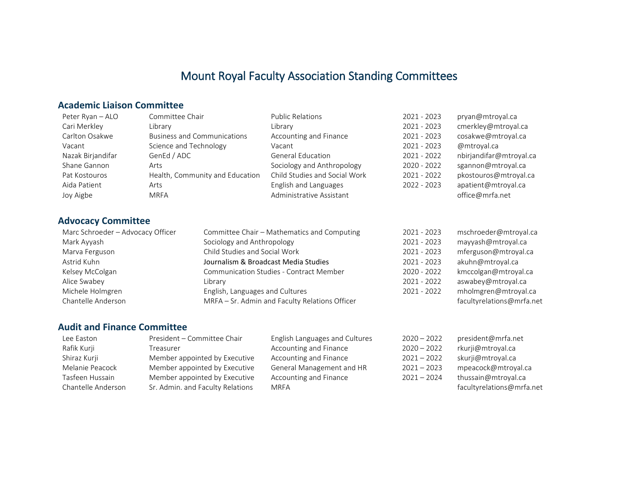# Mount Royal Faculty Association Standing Committees

### <span id="page-1-0"></span>**Academic Liaison Committee**

| Peter Ryan - ALO  | Committee Chair                    | <b>Public Relations</b>       | 2021 - 2023   | pryan@mtroyal.ca        |
|-------------------|------------------------------------|-------------------------------|---------------|-------------------------|
| Cari Merkley      | Library                            | Library                       | $2021 - 2023$ | cmerkley@mtroyal.ca     |
| Carlton Osakwe    | <b>Business and Communications</b> | Accounting and Finance        | $2021 - 2023$ | cosakwe@mtroyal.ca      |
| Vacant            | Science and Technology             | Vacant                        | 2021 - 2023   | @mtroyal.ca             |
| Nazak Birjandifar | GenEd / ADC                        | <b>General Education</b>      | $2021 - 2022$ | nbirjandifar@mtroyal.ca |
| Shane Gannon      | Arts                               | Sociology and Anthropology    | 2020 - 2022   | sgannon@mtroyal.ca      |
| Pat Kostouros     | Health, Community and Education    | Child Studies and Social Work | $2021 - 2022$ | pkostouros@mtroyal.ca   |
| Aida Patient      | Arts                               | English and Languages         | 2022 - 2023   | apatient@mtroyal.ca     |
| Joy Aigbe         | <b>MRFA</b>                        | Administrative Assistant      |               | office@mrfa.net         |

### <span id="page-1-1"></span>**Advocacy Committee**

| Marc Schroeder - Advocacy Officer | Committee Chair - Mathematics and Computing    | 2021 - 2023 | mschroeder@mtroyal.ca     |
|-----------------------------------|------------------------------------------------|-------------|---------------------------|
| Mark Ayyash                       | Sociology and Anthropology                     | 2021 - 2023 | mayyash@mtroyal.ca        |
| Marva Ferguson                    | Child Studies and Social Work                  | 2021 - 2023 | mferguson@mtroyal.ca      |
| Astrid Kuhn                       | Journalism & Broadcast Media Studies           | 2021 - 2023 | akuhn@mtroyal.ca          |
| Kelsey McColgan                   | <b>Communication Studies - Contract Member</b> | 2020 - 2022 | kmccolgan@mtroyal.ca      |
| Alice Swabey                      | Library                                        | 2021 - 2022 | aswabey@mtroyal.ca        |
| Michele Holmgren                  | English, Languages and Cultures                | 2021 - 2022 | mholmgren@mtroyal.ca      |
| Chantelle Anderson                | MRFA - Sr. Admin and Faculty Relations Officer |             | facultyrelations@mrfa.net |

### <span id="page-1-2"></span>**Audit and Finance Committee**

| Lee Easton         | President - Committee Chair      | English Languages and Cultures | $2020 - 2022$ | president@mrfa.net        |
|--------------------|----------------------------------|--------------------------------|---------------|---------------------------|
| Rafik Kurji        | Treasurer                        | Accounting and Finance         | $2020 - 2022$ | rkurji@mtroyal.ca         |
| Shiraz Kurji       | Member appointed by Executive    | Accounting and Finance         | $2021 - 2022$ | skurji@mtroyal.ca         |
| Melanie Peacock    | Member appointed by Executive    | General Management and HR      | $2021 - 2023$ | mpeacock@mtroyal.ca       |
| Tasfeen Hussain    | Member appointed by Executive    | Accounting and Finance         | $2021 - 2024$ | thussain@mtroyal.ca       |
| Chantelle Anderson | Sr. Admin. and Faculty Relations | <b>MRFA</b>                    |               | facultyrelations@mrfa.net |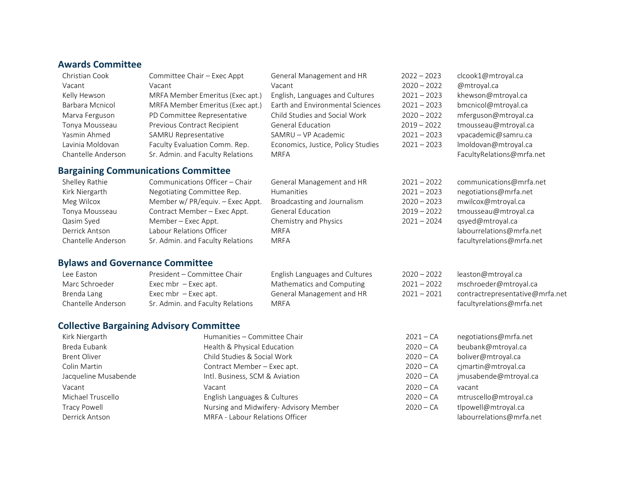### **Awards Committee**

| Christian Cook     | Committee Chair - Exec Appt                | General Management and HR          | $2022 - 2023$ | clcook1@mtroyal.ca        |
|--------------------|--------------------------------------------|------------------------------------|---------------|---------------------------|
| Vacant             | Vacant                                     | Vacant                             | $2020 - 2022$ | @mtroyal.ca               |
| Kelly Hewson       | MRFA Member Emeritus (Exec apt.)           | English, Languages and Cultures    | $2021 - 2023$ | khewson@mtroyal.ca        |
| Barbara Mcnicol    | MRFA Member Emeritus (Exec apt.)           | Earth and Environmental Sciences   | $2021 - 2023$ | bmcnicol@mtroyal.ca       |
| Marva Ferguson     | PD Committee Representative                | Child Studies and Social Work      | $2020 - 2022$ | mferguson@mtroyal.ca      |
| Tonya Mousseau     | Previous Contract Recipient                | <b>General Education</b>           | $2019 - 2022$ | tmousseau@mtroyal.ca      |
| Yasmin Ahmed       | <b>SAMRU Representative</b>                | SAMRU - VP Academic                | $2021 - 2023$ | vpacademic@samru.ca       |
| Lavinia Moldovan   | Faculty Evaluation Comm. Rep.              | Economics, Justice, Policy Studies | $2021 - 2023$ | Imoldovan@mtroyal.ca      |
| Chantelle Anderson | Sr. Admin. and Faculty Relations           | <b>MRFA</b>                        |               | FacultyRelations@mrfa.net |
|                    | <b>Bargaining Communications Committee</b> |                                    |               |                           |
| Shelley Rathie     | Communications Officer - Chair             | General Management and HR          | $2021 - 2022$ | communications@mrfa.net   |
| Kirk Niergarth     | Negotiating Committee Rep.                 | Humanities                         | $2021 - 2023$ | negotiations@mrfa.net     |
| Meg Wilcox         | Member w/ PR/equiv. - Exec Appt.           | Broadcasting and Journalism        | $2020 - 2023$ | mwilcox@mtroyal.ca        |
|                    |                                            |                                    | ---- ----     |                           |

| Tonya Mousseau     | C.C |
|--------------------|-----|
| Qasim Syed         | M   |
| Derrick Antson     | l a |
| Chantelle Anderson | Sr  |

<span id="page-2-0"></span>

| Shelley Rathle     | Communications Officer – Chair   | General Management and HR   | ZUZI – ZUZZ   | communications@mna.ne     |
|--------------------|----------------------------------|-----------------------------|---------------|---------------------------|
| Kirk Niergarth     | Negotiating Committee Rep.       | <b>Humanities</b>           | $2021 - 2023$ | negotiations@mrfa.net     |
| Meg Wilcox         | Member w/ PR/equiv. - Exec Appt. | Broadcasting and Journalism | $2020 - 2023$ | mwilcox@mtroyal.ca        |
| Tonya Mousseau     | Contract Member - Exec Appt.     | <b>General Education</b>    | $2019 - 2022$ | tmousseau@mtroyal.ca      |
| Qasim Syed         | Member – Exec Appt.              | Chemistry and Physics       | $2021 - 2024$ | qsyed@mtroyal.ca          |
| Derrick Antson     | Labour Relations Officer         | <b>MRFA</b>                 |               | labourrelations@mrfa.net  |
| Chantelle Anderson | Sr. Admin. and Faculty Relations | <b>MRFA</b>                 |               | facultyrelations@mrfa.net |
|                    |                                  |                             |               |                           |

| negotiations   | $2021 - 2023$ |
|----------------|---------------|
| mwilcox@mt     | $2020 - 2023$ |
| tmousseau@     | $2019 - 2022$ |
| qsyed@mtrc     | $2021 - 2024$ |
| labourrelatio  |               |
| facultyrelatic |               |
|                |               |

# <span id="page-2-1"></span>**Bylaws and Governance Committee**

| Lee Easton         | President – Committee Chair      | English Languages and Cultures | $2020 - 2022$ | leaston@mtroyal.ca              |
|--------------------|----------------------------------|--------------------------------|---------------|---------------------------------|
| Marc Schroeder     | Exec mbr $-$ Exec apt.           | Mathematics and Computing      | $2021 - 2022$ | mschroeder@mtroyal.ca           |
| Brenda Lang        | Exec mbr $-$ Exec apt.           | General Management and HR      | $2021 - 2021$ | contractrepresentative@mrfa.net |
| Chantelle Anderson | Sr. Admin, and Faculty Relations | MRFA                           |               | facultyrelations@mrfa.net       |

### <span id="page-2-2"></span>**Collective Bargaining Advisory Committee**

<span id="page-2-3"></span>

| Kirk Niergarth       | Humanities - Committee Chair<br>$2021 - CA$ |             | negotiations@mrfa.net    |
|----------------------|---------------------------------------------|-------------|--------------------------|
| Breda Eubank         | Health & Physical Education                 | $2020 - CA$ | beubank@mtroyal.ca       |
| <b>Brent Oliver</b>  | Child Studies & Social Work                 | $2020 - CA$ | boliver@mtroyal.ca       |
| Colin Martin         | Contract Member – Exec apt.                 | $2020 - CA$ | cjmartin@mtroyal.ca      |
| Jacqueline Musabende | Intl. Business, SCM & Aviation              | $2020 - CA$ | jmusabende@mtroyal.ca    |
| Vacant               | Vacant                                      | $2020 - CA$ | vacant                   |
| Michael Truscello    | English Languages & Cultures                | $2020 - CA$ | mtruscello@mtroyal.ca    |
| Tracy Powell         | Nursing and Midwifery- Advisory Member      | $2020 - CA$ | tlpowell@mtroyal.ca      |
| Derrick Antson       | MRFA - Labour Relations Officer             |             | labourrelations@mrfa.net |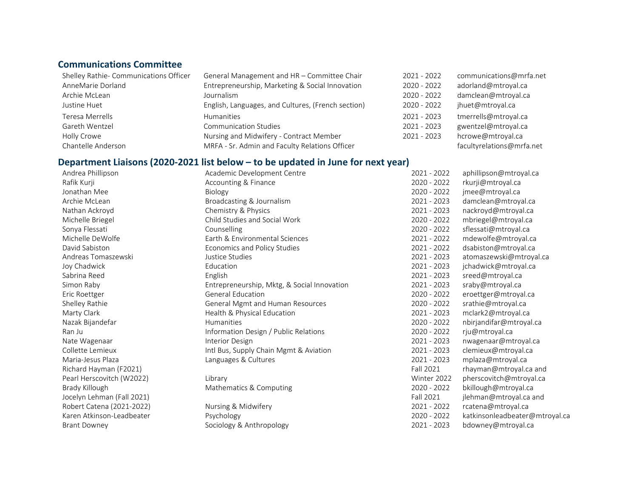### **Communications Committee**

| Shelley Rathie- Communications Officer | General Management and HR - Committee Chair        |             | communications@mrfa.net   |
|----------------------------------------|----------------------------------------------------|-------------|---------------------------|
| AnneMarie Dorland                      | Entrepreneurship, Marketing & Social Innovation    | 2020 - 2022 | adorland@mtroyal.ca       |
| Archie McLean                          | Journalism                                         | 2020 - 2022 | damclean@mtroyal.ca       |
| Justine Huet                           | English, Languages, and Cultures, (French section) | 2020 - 2022 | jhuet@mtroyal.ca          |
| Teresa Merrells                        | <b>Humanities</b>                                  | 2021 - 2023 | tmerrells@mtroyal.ca      |
| Gareth Wentzel                         | <b>Communication Studies</b>                       | 2021 - 2023 | gwentzel@mtroyal.ca       |
| Holly Crowe                            | Nursing and Midwifery - Contract Member            | 2021 - 2023 | hcrowe@mtroyal.ca         |
| Chantelle Anderson                     | MRFA - Sr. Admin and Faculty Relations Officer     |             | facultyrelations@mrfa.net |

# <span id="page-3-0"></span>**Department Liaisons (2020-2021 list below – to be updated in June for next year)**<br>Andrea Phillipson Academic Development Centre

| Andrea Phillipson          | Academic Development Centre                 | 2021 - 2022 | aphillipson@mtroyal.ca         |
|----------------------------|---------------------------------------------|-------------|--------------------------------|
| Rafik Kurji                | Accounting & Finance                        | 2020 - 2022 | rkurji@mtroyal.ca              |
| Jonathan Mee               | Biology                                     | 2020 - 2022 | jmee@mtroyal.ca                |
| Archie McLean              | Broadcasting & Journalism                   | 2021 - 2023 | damclean@mtroyal.ca            |
| Nathan Ackroyd             | Chemistry & Physics                         | 2021 - 2023 | nackroyd@mtroyal.ca            |
| Michelle Briegel           | Child Studies and Social Work               | 2020 - 2022 | mbriegel@mtroyal.ca            |
| Sonya Flessati             | Counselling                                 | 2020 - 2022 | sflessati@mtroyal.ca           |
| Michelle DeWolfe           | Earth & Environmental Sciences              | 2021 - 2022 | mdewolfe@mtroyal.ca            |
| David Sabiston             | Economics and Policy Studies                | 2021 - 2022 | dsabiston@mtroyal.ca           |
| Andreas Tomaszewski        | Justice Studies                             | 2021 - 2023 | atomaszewski@mtroyal.ca        |
| Joy Chadwick               | Education                                   | 2021 - 2023 | jchadwick@mtroyal.ca           |
| Sabrina Reed               | English                                     | 2021 - 2023 | sreed@mtroyal.ca               |
| Simon Raby                 | Entrepreneurship, Mktg, & Social Innovation | 2021 - 2023 | sraby@mtroyal.ca               |
| Eric Roettger              | <b>General Education</b>                    | 2020 - 2022 | eroettger@mtroyal.ca           |
| Shelley Rathie             | General Mgmt and Human Resources            | 2020 - 2022 | srathie@mtroyal.ca             |
| Marty Clark                | Health & Physical Education                 | 2021 - 2023 | mclark2@mtroyal.ca             |
| Nazak Bijandefar           | Humanities                                  | 2020 - 2022 | nbirjandifar@mtroyal.ca        |
| Ran Ju                     | Information Design / Public Relations       | 2020 - 2022 | rju@mtroyal.ca                 |
| Nate Wagenaar              | Interior Design                             | 2021 - 2023 | nwagenaar@mtroyal.ca           |
| Collette Lemieux           | Intl Bus, Supply Chain Mgmt & Aviation      | 2021 - 2023 | clemieux@mtroyal.ca            |
| Maria-Jesus Plaza          | Languages & Cultures                        | 2021 - 2023 | mplaza@mtroyal.ca              |
| Richard Hayman (F2021)     |                                             | Fall 2021   | rhayman@mtroyal.ca and         |
| Pearl Herscovitch (W2022)  | Library                                     | Winter 2022 | pherscovitch@mtroyal.ca        |
| Brady Killough             | Mathematics & Computing                     | 2020 - 2022 | bkillough@mtroyal.ca           |
| Jocelyn Lehman (Fall 2021) |                                             | Fall 2021   | jlehman@mtroyal.ca and         |
| Robert Catena (2021-2022)  | Nursing & Midwifery                         | 2021 - 2022 | rcatena@mtroyal.ca             |
| Karen Atkinson-Leadbeater  | Psychology                                  | 2020 - 2022 | katkinsonleadbeater@mtroyal.ca |
| <b>Brant Downey</b>        | Sociology & Anthropology                    | 2021 - 2023 | bdowney@mtroyal.ca             |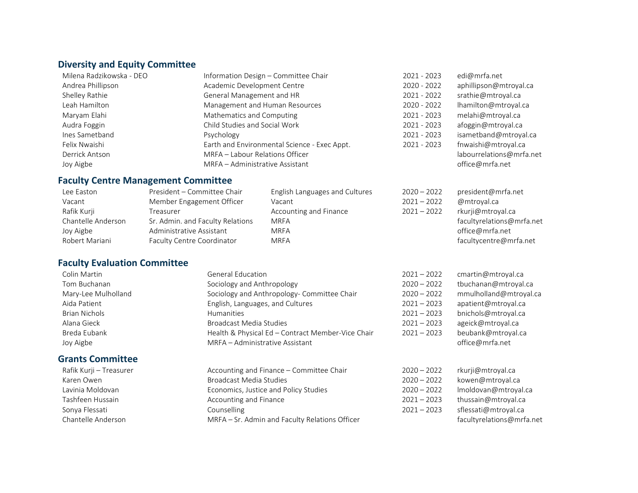# **Diversity and Equity Committee**

| Milena Radzikowska - DEO | Information Design - Committee Chair         | 2021 - 2023 | edi@mrfa.net             |
|--------------------------|----------------------------------------------|-------------|--------------------------|
| Andrea Phillipson        | Academic Development Centre                  | 2020 - 2022 | aphillipson@mtroyal.ca   |
| Shelley Rathie           | General Management and HR                    | 2021 - 2022 | srathie@mtroyal.ca       |
| Leah Hamilton            | Management and Human Resources               | 2020 - 2022 | lhamilton@mtroyal.ca     |
| Maryam Elahi             | Mathematics and Computing                    | 2021 - 2023 | melahi@mtroyal.ca        |
| Audra Foggin             | Child Studies and Social Work                | 2021 - 2023 | afoggin@mtroyal.ca       |
| Ines Sametband           | Psychology                                   | 2021 - 2023 | isametband@mtroyal.ca    |
| Felix Nwaishi            | Earth and Environmental Science - Exec Appt. | 2021 - 2023 | fnwaishi@mtroyal.ca      |
| Derrick Antson           | MRFA - Labour Relations Officer              |             | labourrelations@mrfa.net |
| Joy Aigbe                | MRFA - Administrative Assistant              |             | office@mrfa.net          |

# <span id="page-4-0"></span>**Faculty Centre Management Committee**

| Lee Easton         | President - Committee Chair      | English Languages and Cultures | $2020 - 2022$ | president@mrfa.net        |
|--------------------|----------------------------------|--------------------------------|---------------|---------------------------|
| Vacant             | Member Engagement Officer        | Vacant                         | $2021 - 2022$ | @mtroval.ca               |
| Rafik Kurji        | Treasurer                        | Accounting and Finance         | $2021 - 2022$ | rkurji@mtroyal.ca         |
| Chantelle Anderson | Sr. Admin. and Faculty Relations | MRFA                           |               | facultyrelations@mrfa.net |
| Joy Aigbe          | Administrative Assistant         | MRFA                           |               | office@mrfa.net           |
| Robert Mariani     | Faculty Centre Coordinator       | <b>MRFA</b>                    |               | facultycentre@mrfa.net    |

### <span id="page-4-1"></span>**Faculty Evaluation Committee**

<span id="page-4-2"></span>

| Colin Martin            | <b>General Education</b>                          | $2021 - 2022$ | cmartin@mtroyal.ca        |
|-------------------------|---------------------------------------------------|---------------|---------------------------|
| Tom Buchanan            | Sociology and Anthropology                        | $2020 - 2022$ | tbuchanan@mtroyal.ca      |
| Mary-Lee Mulholland     | Sociology and Anthropology- Committee Chair       | $2020 - 2022$ | mmulholland@mtroyal.ca    |
| Aida Patient            | English, Languages, and Cultures                  | $2021 - 2023$ | apatient@mtroyal.ca       |
| <b>Brian Nichols</b>    | <b>Humanities</b>                                 | $2021 - 2023$ | bnichols@mtroyal.ca       |
| Alana Gieck             | Broadcast Media Studies                           | $2021 - 2023$ | ageick@mtroyal.ca         |
| Breda Eubank            | Health & Physical Ed - Contract Member-Vice Chair | $2021 - 2023$ | beubank@mtroyal.ca        |
| Joy Aigbe               | MRFA - Administrative Assistant                   |               | office@mrfa.net           |
| <b>Grants Committee</b> |                                                   |               |                           |
| Rafik Kurji – Treasurer | Accounting and Finance - Committee Chair          | $2020 - 2022$ | rkurji@mtroyal.ca         |
| Karen Owen              | Broadcast Media Studies                           | $2020 - 2022$ | kowen@mtroyal.ca          |
| Lavinia Moldovan        | Economics, Justice and Policy Studies             | $2020 - 2022$ | Imoldovan@mtroyal.ca      |
| Tashfeen Hussain        | Accounting and Finance                            | $2021 - 2023$ | thussain@mtroyal.ca       |
| Sonya Flessati          | Counselling                                       | $2021 - 2023$ | sflessati@mtroyal.ca      |
| Chantelle Anderson      | MRFA - Sr. Admin and Faculty Relations Officer    |               | facultyrelations@mrfa.net |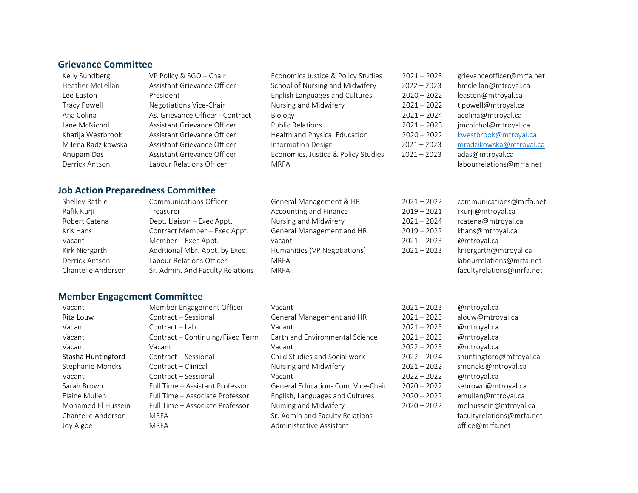#### <span id="page-5-0"></span>**Grievance Committee**

| VP Policy & SGO - Chair          |
|----------------------------------|
| Assistant Grievance Officer      |
| President                        |
| Negotiations Vice-Chair          |
| As. Grievance Officer - Contract |
| Assistant Grievance Officer      |
| Assistant Grievance Officer      |
| Assistant Grievance Officer      |
| Assistant Grievance Officer      |
| Labour Relations Officer         |

| Kelly Sundberg      | VP Policy & SGO - Chair          | Economics Justice & Policy Studies  | $2021 - 2023$ | grievanceofficer@mrfa.net |
|---------------------|----------------------------------|-------------------------------------|---------------|---------------------------|
| Heather McLellan    | Assistant Grievance Officer      | School of Nursing and Midwifery     | $2022 - 2023$ | hmclellan@mtroyal.ca      |
| Lee Easton          | President                        | English Languages and Cultures      | $2020 - 2022$ | leaston@mtroyal.ca        |
| <b>Tracy Powell</b> | Negotiations Vice-Chair          | Nursing and Midwifery               | $2021 - 2022$ | tlpowell@mtroyal.ca       |
| Ana Colina          | As. Grievance Officer - Contract | <b>Biology</b>                      | $2021 - 2024$ | acolina@mtroyal.ca        |
| Jane McNichol       | Assistant Grievance Officer      | <b>Public Relations</b>             | $2021 - 2023$ | jmcnichol@mtroyal.ca      |
| Khatija Westbrook   | Assistant Grievance Officer      | Health and Physical Education       | $2020 - 2022$ | kwestbrook@mtroyal.ca     |
| Milena Radzikowska  | Assistant Grievance Officer      | <b>Information Design</b>           | $2021 - 2023$ | mradzikowska@mtroyal.ca   |
| Anupam Das          | Assistant Grievance Officer      | Economics, Justice & Policy Studies | $2021 - 2023$ | adas@mtroyal.ca           |
| Derrick Antson      | Labour Relations Officer         | <b>MRFA</b>                         |               | labourrelations@mrfa.net  |

#### <span id="page-5-1"></span>**Job Action Preparedness Committee**

| Shelley Rathie     | Communications Officer           | General Management & HR      | $2021 - 2022$ | communications@mrfa.net   |
|--------------------|----------------------------------|------------------------------|---------------|---------------------------|
| Rafik Kurji        | Treasurer                        | Accounting and Finance       | $2019 - 2021$ | rkurji@mtroyal.ca         |
| Robert Catena      | Dept. Liaison - Exec Appt.       | Nursing and Midwifery        | $2021 - 2024$ | rcatena@mtroyal.ca        |
| Kris Hans          | Contract Member - Exec Appt.     | General Management and HR    | $2019 - 2022$ | khans@mtroyal.ca          |
| Vacant             | Member – Exec Appt.              | vacant                       | $2021 - 2023$ | @mtroyal.ca               |
| Kirk Niergarth     | Additional Mbr. Appt. by Exec.   | Humanities (VP Negotiations) | $2021 - 2023$ | kniergarth@mtroyal.ca     |
| Derrick Antson     | Labour Relations Officer         | MRFA                         |               | labourrelations@mrfa.net  |
| Chantelle Anderson | Sr. Admin. And Faculty Relations | <b>MRFA</b>                  |               | facultyrelations@mrfa.net |

#### <span id="page-5-2"></span>**Member Engagement Committee**

| Vacant             | Member Engagement Officer        | Vacant                             | $2021 - 2023$ | @mtroyal.ca       |
|--------------------|----------------------------------|------------------------------------|---------------|-------------------|
| Rita Louw          | Contract - Sessional             | General Management and HR          | $2021 - 2023$ | alouw@mtroyal.    |
| Vacant             | Contract - Lab                   | Vacant                             | $2021 - 2023$ | @mtroyal.ca       |
| Vacant             | Contract – Continuing/Fixed Term | Earth and Environmental Science    | $2021 - 2023$ | @mtroyal.ca       |
| Vacant             | Vacant                           | Vacant                             | $2022 - 2023$ | @mtroyal.ca       |
| Stasha Huntingford | Contract – Sessional             | Child Studies and Social work      | $2022 - 2024$ | shuntingford@m    |
| Stephanie Moncks   | Contract - Clinical              | Nursing and Midwifery              | $2021 - 2022$ | smoncks@mtroy     |
| Vacant             | Contract - Sessional             | Vacant                             | $2022 - 2022$ | @mtroyal.ca       |
| Sarah Brown        | Full Time - Assistant Professor  | General Education- Com. Vice-Chair | $2020 - 2022$ | sebrown@mtroy     |
| Elaine Mullen      | Full Time - Associate Professor  | English, Languages and Cultures    | $2020 - 2022$ | emullen@mtroy     |
| Mohamed El Hussein | Full Time - Associate Professor  | Nursing and Midwifery              | $2020 - 2022$ | melhussein@mt     |
| Chantelle Anderson | <b>MRFA</b>                      | Sr. Admin and Faculty Relations    |               | facultyrelations( |
| Joy Aigbe          | <b>MRFA</b>                      | Administrative Assistant           |               | office@mrfa.net   |

| $21 - 2023$ | @mtroyal.ca               |
|-------------|---------------------------|
| $21 - 2023$ | alouw@mtroyal.ca          |
| $21 - 2023$ | @mtroyal.ca               |
| $21 - 2023$ | @mtroyal.ca               |
| $22 - 2023$ | @mtroyal.ca               |
| $22 - 2024$ | shuntingford@mtroyal.ca   |
| $21 - 2022$ | smoncks@mtroyal.ca        |
| $22 - 2022$ | @mtroyal.ca               |
| $20 - 2022$ | sebrown@mtroyal.ca        |
| $20 - 2022$ | emullen@mtroyal.ca        |
| $20 - 2022$ | melhussein@mtroyal.ca     |
|             | facultyrelations@mrfa.net |
|             | office@mrfa.net           |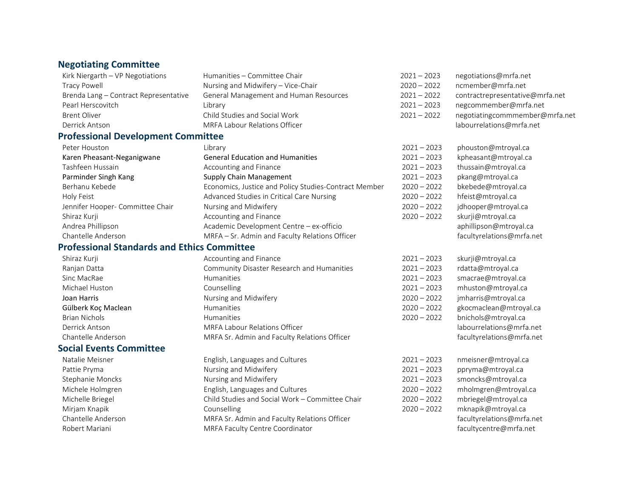#### **Negotiating Committee**

Kirk Niergarth – VP Negotiations Humanities – Committee Chair 2021 – 2021 –

Tracy Powell **Nursing and Midwifery – Vice-Chair** 2020 – 2020 – Brenda Lang – Contract Representative General Management and Human Resources 2021 – Pearl Herscovitch Library 2021 – 2023 negcommember@mrfa.net Derrick Antson **MRFA Labour Relations Officer** Mateur Labourrelations **@mrfa.net** by the Mateur Mateurrelations of the Mateurs of the Mateurs of the Mateurs of the Mateurs of the Mateurs of the Mateurs of the Mateurs of th

#### <span id="page-6-0"></span>**Professional Development Committee**

| Peter Houston                    | Librarv                                               | $2021 - 2023$ | phouston@mtroyal.ca     |
|----------------------------------|-------------------------------------------------------|---------------|-------------------------|
| Karen Pheasant-Neganigwane       | <b>General Education and Humanities</b>               | $2021 - 2023$ | kpheasant@mtroyal.ca    |
| Tashfeen Hussain                 | Accounting and Finance                                | $2021 - 2023$ | thussain@mtroyal.ca     |
| Parminder Singh Kang             | Supply Chain Management                               | $2021 - 2023$ | pkang@mtroyal.ca        |
| Berhanu Kebede                   | Economics, Justice and Policy Studies-Contract Member | $2020 - 2022$ | bkebede@mtroyal.ca      |
| Holy Feist                       | Advanced Studies in Critical Care Nursing             | $2020 - 2022$ | hfeist@mtroyal.ca       |
| Jennifer Hooper- Committee Chair | Nursing and Midwifery                                 | $2020 - 2022$ | jdhooper@mtroyal.ca     |
| Shiraz Kurji                     | Accounting and Finance                                | $2020 - 2022$ | skurji@mtroyal.ca       |
| Andrea Phillipson                | Academic Development Centre - ex-officio              |               | aphillipson@mtroyal.ca  |
| Chantelle Anderson               | MRFA - Sr. Admin and Faculty Relations Officer        |               | facultyrelations@mrfa.r |
|                                  |                                                       |               |                         |

#### <span id="page-6-1"></span>**Professional Standards and Ethics Committee**

#### <span id="page-6-2"></span>**Social Events Committee**

Natalie Meisner **English, Languages and Cultures** 2021 – 2021 – Pattie Pryma **Nursing and Midwifery** 2021 – 2021 – Stephanie Moncks Nursing and Midwifery 2021 – 2021 – Michele Holmgren **English, Languages and Cultures** 2020 – 2020 – Michelle Briegel Child Studies and Social Work – Committee Chair 2020 – Mirjam Knapik Counselling 2020 – 2022 mknapik@mtroyal.ca Chantelle Anderson **MRFA Sr. Admin and Faculty Relations Officer** Facultyrelations **Chantelle Anderson** and Tacultyrelations **Chantelle** Anderson and Tacultyrelations **Chantelle** Anderson and Tacultyrelations **Chantelle** A Robert Mariani MRFA Faculty Centre Coordinator

| Kirk Niergarth - VP Negotiations      | Humanities - Committee Chair           | $2021 - 2023$ | negotiations@mrfa.net           |
|---------------------------------------|----------------------------------------|---------------|---------------------------------|
| Tracy Powell                          | Nursing and Midwifery - Vice-Chair     | $2020 - 2022$ | ncmember@mrfa.net               |
| Brenda Lang - Contract Representative | General Management and Human Resources | $2021 - 2022$ | contractrepresentative@mrfa.net |
| Pearl Herscovitch                     | Librarv                                | $2021 - 2023$ | negcommember@mrfa.net           |
| Brent Oliver                          | Child Studies and Social Work          | $2021 - 2022$ | negotiatingcommmember@mrfa.net  |
| Dorrick Antron                        | MDEALabour Polations Officer           |               | Ichourralations@mrfa.not        |

| $21 - 2023$ | phouston@mtroyal.ca       |
|-------------|---------------------------|
|             |                           |
| $21 - 2023$ | kpheasant@mtroyal.ca      |
| $21 - 2023$ | thussain@mtroyal.ca       |
| $21 - 2023$ | pkang@mtroyal.ca          |
| $20 - 2022$ | bkebede@mtroyal.ca        |
| $20 - 2022$ | hfeist@mtroyal.ca         |
| $20 - 2022$ | jdhooper@mtroyal.ca       |
| $20 - 2022$ | skurji@mtroyal.ca         |
|             | aphillipson@mtroyal.ca    |
|             | facultyrelations@mrfa.net |

| Shiraz Kurji         | Accounting and Finance                       | $2021 - 2023$ | skurji@mtroyal.ca         |
|----------------------|----------------------------------------------|---------------|---------------------------|
| Ranjan Datta         | Community Disaster Research and Humanities   | $2021 - 2023$ | rdatta@mtroyal.ca         |
| Sinc MacRae          | <b>Humanities</b>                            | $2021 - 2023$ | smacrae@mtroyal.ca        |
| Michael Huston       | Counselling                                  | $2021 - 2023$ | mhuston@mtroyal.ca        |
| Joan Harris          | Nursing and Midwifery                        | $2020 - 2022$ | jmharris@mtroyal.ca       |
| Gülberk Koç Maclean  | <b>Humanities</b>                            | $2020 - 2022$ | gkocmaclean@mtroyal.ca    |
| <b>Brian Nichols</b> | <b>Humanities</b>                            | $2020 - 2022$ | bnichols@mtroyal.ca       |
| Derrick Antson       | <b>MRFA Labour Relations Officer</b>         |               | labourrelations@mrfa.net  |
| Chantelle Anderson   | MRFA Sr. Admin and Faculty Relations Officer |               | facultyrelations@mrfa.net |

| - 2023  | nmeisner@mtroyal.ca      |
|---------|--------------------------|
| $-2023$ | ppryma@mtroyal.ca        |
| $-2023$ | smoncks@mtroyal.ca       |
| $-2022$ | mholmgren@mtroyal.ca     |
| $-2022$ | mbriegel@mtroyal.ca      |
| $-2022$ | mknapik@mtroyal.ca       |
|         | facultyrelations@mrfa.ne |
|         | facultycentre@mrfa.net   |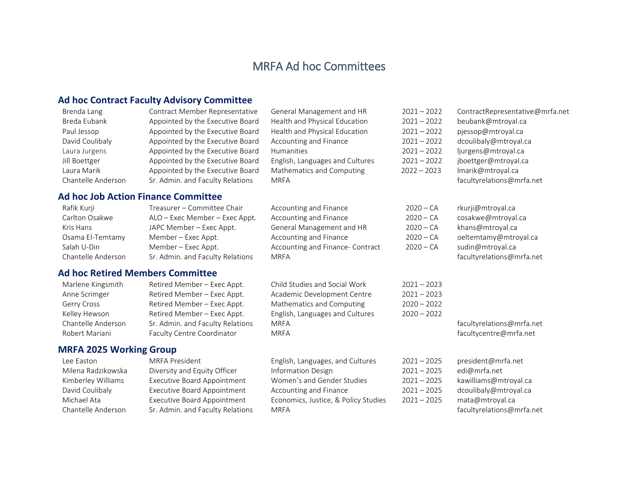# MRFA Ad hoc Committees

# <span id="page-7-0"></span>**Ad hoc Contract Faculty Advisory Committee**

<span id="page-7-2"></span><span id="page-7-1"></span>

| Brenda Lang                    | Contract Member Representative             | General Management and HR            | $2021 - 2022$ | ContractRepresentative@mrfa.net |
|--------------------------------|--------------------------------------------|--------------------------------------|---------------|---------------------------------|
| Breda Eubank                   | Appointed by the Executive Board           | Health and Physical Education        | $2021 - 2022$ | beubank@mtroyal.ca              |
| Paul Jessop                    | Appointed by the Executive Board           | Health and Physical Education        | $2021 - 2022$ | pjessop@mtroyal.ca              |
| David Coulibaly                | Appointed by the Executive Board           | Accounting and Finance               | $2021 - 2022$ | dcoulibaly@mtroyal.ca           |
| Laura Jurgens                  | Appointed by the Executive Board           | <b>Humanities</b>                    | $2021 - 2022$ | ljurgens@mtroyal.ca             |
| Jill Boettger                  | Appointed by the Executive Board           | English, Languages and Cultures      | $2021 - 2022$ | jboettger@mtroyal.ca            |
| Laura Marik                    | Appointed by the Executive Board           | Mathematics and Computing            | $2022 - 2023$ | Imarik@mtroyal.ca               |
| Chantelle Anderson             | Sr. Admin. and Faculty Relations           | <b>MRFA</b>                          |               | facultyrelations@mrfa.net       |
|                                | <b>Ad hoc Job Action Finance Committee</b> |                                      |               |                                 |
| Rafik Kurji                    | Treasurer - Committee Chair                | Accounting and Finance               | $2020 - CA$   | rkurji@mtroyal.ca               |
| Carlton Osakwe                 | ALO - Exec Member - Exec Appt.             | Accounting and Finance               | $2020 - CA$   | cosakwe@mtroyal.ca              |
| Kris Hans                      | JAPC Member - Exec Appt.                   | General Management and HR            | $2020 - CA$   | khans@mtroyal.ca                |
| Osama El-Temtamy               | Member - Exec Appt.                        | Accounting and Finance               | $2020 - CA$   | oeltemtamy@mtroyal.ca           |
| Salah U-Din                    | Member - Exec Appt.                        | Accounting and Finance- Contract     | $2020 - CA$   | sudin@mtroyal.ca                |
| Chantelle Anderson             | Sr. Admin. and Faculty Relations           | <b>MRFA</b>                          |               | facultyrelations@mrfa.net       |
|                                | <b>Ad hoc Retired Members Committee</b>    |                                      |               |                                 |
| Marlene Kingsmith              | Retired Member - Exec Appt.                | Child Studies and Social Work        | $2021 - 2023$ |                                 |
| Anne Scrimger                  | Retired Member - Exec Appt.                | Academic Development Centre          | $2021 - 2023$ |                                 |
| Gerry Cross                    | Retired Member - Exec Appt.                | Mathematics and Computing            | $2020 - 2022$ |                                 |
| Kelley Hewson                  | Retired Member - Exec Appt.                | English, Languages and Cultures      | $2020 - 2022$ |                                 |
| Chantelle Anderson             | Sr. Admin. and Faculty Relations           | <b>MRFA</b>                          |               | facultyrelations@mrfa.net       |
| Robert Mariani                 | Faculty Centre Coordinator                 | <b>MRFA</b>                          |               | facultycentre@mrfa.net          |
| <b>MRFA 2025 Working Group</b> |                                            |                                      |               |                                 |
| Lee Easton                     | <b>MRFA President</b>                      | English, Languages, and Cultures     | $2021 - 2025$ | president@mrfa.net              |
| Milena Radzikowska             | Diversity and Equity Officer               | Information Design                   | $2021 - 2025$ | edi@mrfa.net                    |
| Kimberley Williams             | <b>Executive Board Appointment</b>         | Women's and Gender Studies           | $2021 - 2025$ | kawilliams@mtroyal.ca           |
| David Coulibaly                | <b>Executive Board Appointment</b>         | Accounting and Finance               | $2021 - 2025$ | dcoulibaly@mtroyal.ca           |
| Michael Ata                    | <b>Executive Board Appointment</b>         | Economics, Justice, & Policy Studies | $2021 - 2025$ | mata@mtroyal.ca                 |
| Chantelle Anderson             | Sr. Admin. and Faculty Relations           | <b>MRFA</b>                          |               | facultyrelations@mrfa.net       |
|                                |                                            |                                      |               |                                 |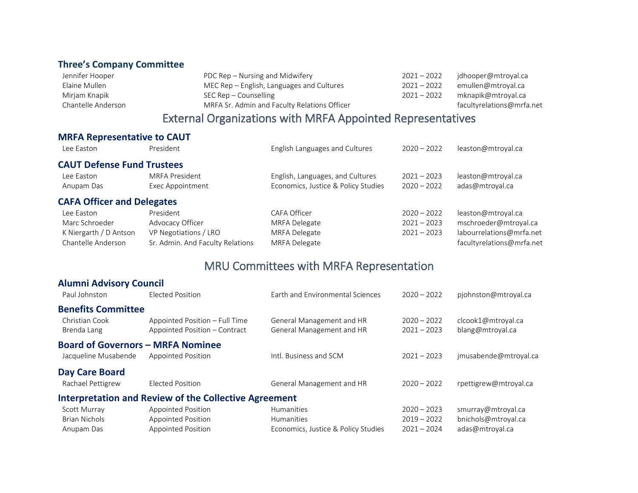# <span id="page-8-0"></span>**Three's Company Committee**

| Jennifer Hooper    | PDC Rep – Nursing and Midwifery              | $2021 - 2022$ | jdhooper@mtroyal.ca       |
|--------------------|----------------------------------------------|---------------|---------------------------|
| Elaine Mullen      | MEC Rep – English, Languages and Cultures    | $2021 - 2022$ | emullen@mtroyal.ca        |
| Mirjam Knapik      | SEC Rep – Counselling                        | $2021 - 2022$ | mknapik@mtroyal.ca        |
| Chantelle Anderson | MRFA Sr. Admin and Faculty Relations Officer |               | facultyrelations@mrfa.net |
|                    |                                              |               |                           |

# External Organizations with MRFA Appointed Representatives

### <span id="page-8-1"></span>**MRFA Representative to CAUT**

<span id="page-8-3"></span><span id="page-8-2"></span>

| Lee Easton                        | President                        | English Languages and Cultures      | $2020 - 2022$ | leaston@mtroyal.ca        |
|-----------------------------------|----------------------------------|-------------------------------------|---------------|---------------------------|
| <b>CAUT Defense Fund Trustees</b> |                                  |                                     |               |                           |
| Lee Easton                        | MRFA President                   | English, Languages, and Cultures    | $2021 - 2023$ | leaston@mtroyal.ca        |
| Anupam Das                        | Exec Appointment                 | Economics, Justice & Policy Studies | $2020 - 2022$ | adas@mtroyal.ca           |
| <b>CAFA Officer and Delegates</b> |                                  |                                     |               |                           |
| Lee Easton                        | President                        | CAFA Officer                        | $2020 - 2022$ | leaston@mtroyal.ca        |
| Marc Schroeder                    | Advocacy Officer                 | MRFA Delegate                       | $2021 - 2023$ | mschroeder@mtroyal.ca     |
| K Niergarth / D Antson            | VP Negotiations / LRO            | MRFA Delegate                       | $2021 - 2023$ | labourrelations@mrfa.net  |
| Chantelle Anderson                | Sr. Admin. And Faculty Relations | MRFA Delegate                       |               | facultyrelations@mrfa.net |

# MRU Committees with MRFA Representation

<span id="page-8-8"></span><span id="page-8-7"></span><span id="page-8-6"></span><span id="page-8-5"></span><span id="page-8-4"></span>

| <b>Alumni Advisory Council</b>           |                                                                 |                                                        |                                |                                        |
|------------------------------------------|-----------------------------------------------------------------|--------------------------------------------------------|--------------------------------|----------------------------------------|
| Paul Johnston                            | Elected Position                                                | Earth and Environmental Sciences                       | $2020 - 2022$                  | pjohnston@mtroyal.ca                   |
| <b>Benefits Committee</b>                |                                                                 |                                                        |                                |                                        |
| Christian Cook<br>Brenda Lang            | Appointed Position - Full Time<br>Appointed Position - Contract | General Management and HR<br>General Management and HR | $2020 - 2022$<br>$2021 - 2023$ | clcook1@mtroyal.ca<br>blang@mtroyal.ca |
| <b>Board of Governors - MRFA Nominee</b> |                                                                 |                                                        |                                |                                        |
| Jacqueline Musabende                     | <b>Appointed Position</b>                                       | Intl. Business and SCM                                 | $2021 - 2023$                  | jmusabende@mtroyal.ca                  |
| Day Care Board                           |                                                                 |                                                        |                                |                                        |
| Rachael Pettigrew                        | <b>Elected Position</b>                                         | General Management and HR                              | $2020 - 2022$                  | rpettigrew@mtroyal.ca                  |
|                                          | <b>Interpretation and Review of the Collective Agreement</b>    |                                                        |                                |                                        |
| Scott Murray                             | <b>Appointed Position</b>                                       | <b>Humanities</b>                                      | $2020 - 2023$                  | smurray@mtroyal.ca                     |
| <b>Brian Nichols</b>                     | <b>Appointed Position</b>                                       | <b>Humanities</b>                                      | $2019 - 2022$                  | bnichols@mtroyal.ca                    |
| Anupam Das                               | <b>Appointed Position</b>                                       | Economics, Justice & Policy Studies                    | $2021 - 2024$                  | adas@mtroyal.ca                        |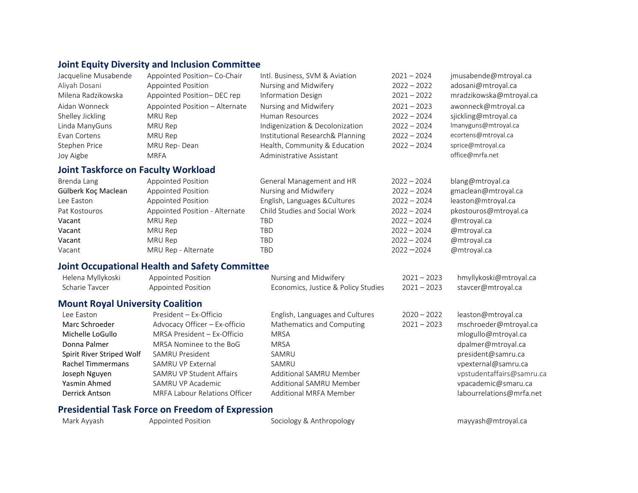# <span id="page-9-0"></span>**Joint Equity Diversity and Inclusion Committee**

<span id="page-9-1"></span>

| Jacqueline Musabende                       | Appointed Position-Co-Chair    | Intl. Business, SVM & Aviation   | $2021 - 2024$ | jmusabende@mtroyal.ca   |
|--------------------------------------------|--------------------------------|----------------------------------|---------------|-------------------------|
| Aliyah Dosani                              | Appointed Position             | Nursing and Midwifery            | $2022 - 2022$ | adosani@mtroyal.ca      |
| Milena Radzikowska                         | Appointed Position-DEC rep     | Information Design               | $2021 - 2022$ | mradzikowska@mtroyal.ca |
| Aidan Wonneck                              | Appointed Position - Alternate | Nursing and Midwifery            | $2021 - 2023$ | awonneck@mtroyal.ca     |
| Shelley Jickling                           | MRU Rep                        | Human Resources                  | $2022 - 2024$ | sjickling@mtroyal.ca    |
| Linda ManyGuns                             | MRU Rep                        | Indigenization & Decolonization  | $2022 - 2024$ | Imanyguns@mtroyal.ca    |
| Evan Cortens                               | MRU Rep                        | Institutional Research& Planning | $2022 - 2024$ | ecortens@mtroyal.ca     |
| Stephen Price                              | MRU Rep-Dean                   | Health, Community & Education    | $2022 - 2024$ | sprice@mtroyal.ca       |
| Joy Aigbe                                  | <b>MRFA</b>                    | Administrative Assistant         |               | office@mrfa.net         |
| <b>Joint Taskforce on Faculty Workload</b> |                                |                                  |               |                         |
| Brenda Lang                                | Appointed Position             | General Management and HR        | $2022 - 2024$ | blang@mtroyal.ca        |
| Gülberk Koç Maclean                        | Appointed Position             | Nursing and Midwifery            | $2022 - 2024$ | gmaclean@mtroyal.ca     |
| Lee Easton                                 | <b>Appointed Position</b>      | English, Languages & Cultures    | $2022 - 2024$ | leaston@mtroyal.ca      |
| Pat Kostouros                              | Appointed Position - Alternate | Child Studies and Social Work    | $2022 - 2024$ | pkostouros@mtroyal.ca   |
| Vacant                                     | MRU Rep                        | TBD                              | $2022 - 2024$ | @mtroyal.ca             |
| Vacant                                     | MRU Rep                        | <b>TBD</b>                       | $2022 - 2024$ | @mtroyal.ca             |
| Vacant                                     | MRU Rep                        | <b>TBD</b>                       | $2022 - 2024$ | @mtroyal.ca             |
| Vacant                                     | MRU Rep - Alternate            | <b>TBD</b>                       | $2022 - 2024$ | @mtroyal.ca             |

# **Joint Occupational Health and Safety Committee**

| Helena Myllykoski                       | <b>Appointed Position</b>                               | Nursing and Midwifery               | $2021 - 2023$ | hmyllykoski@mtroyal.ca    |
|-----------------------------------------|---------------------------------------------------------|-------------------------------------|---------------|---------------------------|
| Scharie Taycer                          | <b>Appointed Position</b>                               | Economics, Justice & Policy Studies | $2021 - 2023$ | stavcer@mtroyal.ca        |
| <b>Mount Royal University Coalition</b> |                                                         |                                     |               |                           |
| Lee Easton                              | President - Ex-Officio                                  | English, Languages and Cultures     | $2020 - 2022$ | leaston@mtroyal.ca        |
| Marc Schroeder                          | Advocacy Officer - Ex-officio                           | Mathematics and Computing           | $2021 - 2023$ | mschroeder@mtroyal.ca     |
| Michelle LoGullo                        | MRSA President - Ex-Officio                             | <b>MRSA</b>                         |               | mlogullo@mtroyal.ca       |
| Donna Palmer                            | MRSA Nominee to the BoG                                 | <b>MRSA</b>                         |               | dpalmer@mtroyal.ca        |
| Spirit River Striped Wolf               | SAMRU President                                         | SAMRU                               |               | president@samru.ca        |
| <b>Rachel Timmermans</b>                | SAMRU VP External                                       | SAMRU                               |               | vpexternal@samru.ca       |
| Joseph Nguyen                           | SAMRU VP Student Affairs                                | Additional SAMRU Member             |               | vpstudentaffairs@samru.ca |
| Yasmin Ahmed                            | SAMRU VP Academic                                       | Additional SAMRU Member             |               | vpacademic@smaru.ca       |
| Derrick Antson                          | MRFA Labour Relations Officer                           | Additional MRFA Member              |               | labourrelations@mrfa.net  |
|                                         | <b>Presidential Task Force on Freedom of Expression</b> |                                     |               |                           |

<span id="page-9-2"></span>

| Mark Ayyash | Appointed Position | Sociology & Anthropology | mayyash@mtroyal.ca |
|-------------|--------------------|--------------------------|--------------------|
|             |                    |                          |                    |